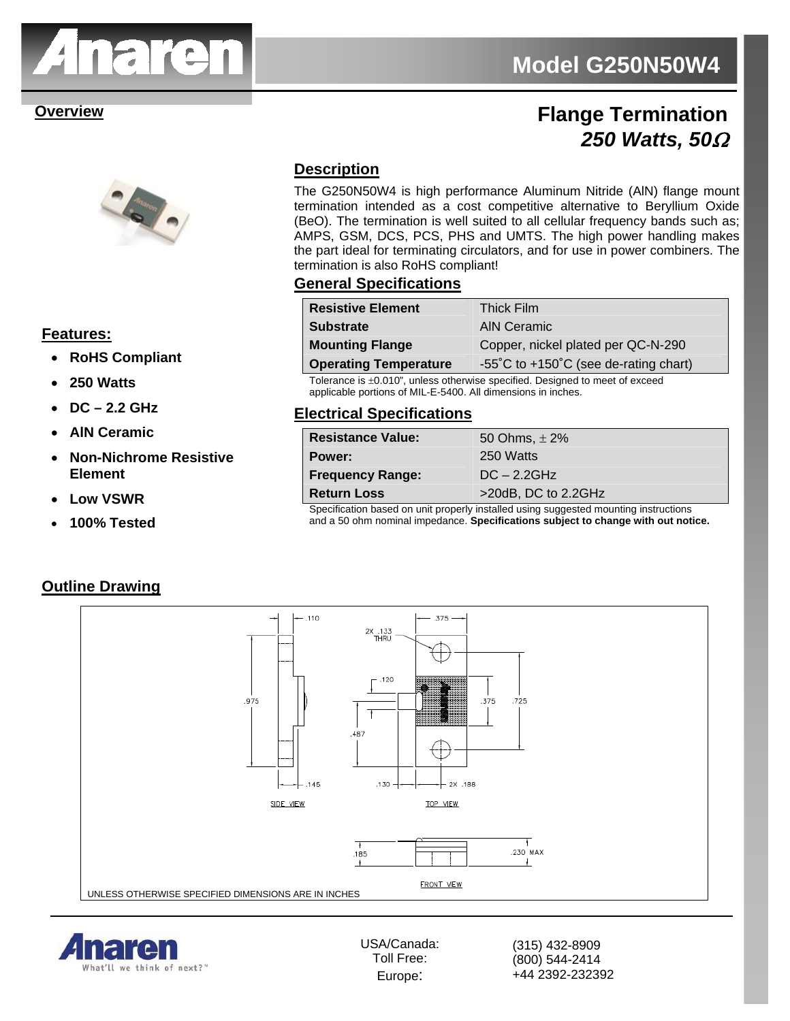

# **Model G250N50W4**

## **Overview Coverview Coverview Coverview Coverview Coverview Coverview Coverview Coverview Coverview Coverview Coverview Coverview Coverview Coverview Coverview Coverview Coverview Coverview Coverview Coverview Coverview Co** *250 Watts, 50*<sup>Ω</sup>



### **Features:**

- **RoHS Compliant**
- **250 Watts**
- **DC 2.2 GHz**
- **AlN Ceramic**
- **Non-Nichrome Resistive Element**
- **Low VSWR**
- **100% Tested**

#### **Description**

The G250N50W4 is high performance Aluminum Nitride (AlN) flange mount termination intended as a cost competitive alternative to Beryllium Oxide (BeO). The termination is well suited to all cellular frequency bands such as; AMPS, GSM, DCS, PCS, PHS and UMTS. The high power handling makes the part ideal for terminating circulators, and for use in power combiners. The termination is also RoHS compliant!

#### **General Specifications**

| <b>Resistive Element</b>                                                    | <b>Thick Film</b>                     |
|-----------------------------------------------------------------------------|---------------------------------------|
| <b>Substrate</b>                                                            | <b>AIN Ceramic</b>                    |
| <b>Mounting Flange</b>                                                      | Copper, nickel plated per QC-N-290    |
| <b>Operating Temperature</b>                                                | -55°C to +150°C (see de-rating chart) |
| Tolerance is +0.010" unless otherwise specified. Designed to meet of exceed |                                       |

Tolerance is  $\pm 0.010$ ", unless otherwise specified. Designed to meet of exceed applicable portions of MIL-E-5400. All dimensions in inches.

#### **Electrical Specifications**

| <b>Resistance Value:</b>                                                             | 50 Ohms, $\pm$ 2%   |
|--------------------------------------------------------------------------------------|---------------------|
| Power:                                                                               | 250 Watts           |
| <b>Frequency Range:</b>                                                              | $DC - 2.2GHz$       |
| <b>Return Loss</b>                                                                   | >20dB, DC to 2.2GHz |
| Specification based on unit properly installed using suggested mounting instructions |                     |

Specification based on unit properly installed using suggested mounting instructions and a 50 ohm nominal impedance. **Specifications subject to change with out notice.**

#### **Outline Drawing**





USA/Canada: Toll Free: Europe:

(315) 432-8909 (800) 544-2414 +44 2392-232392